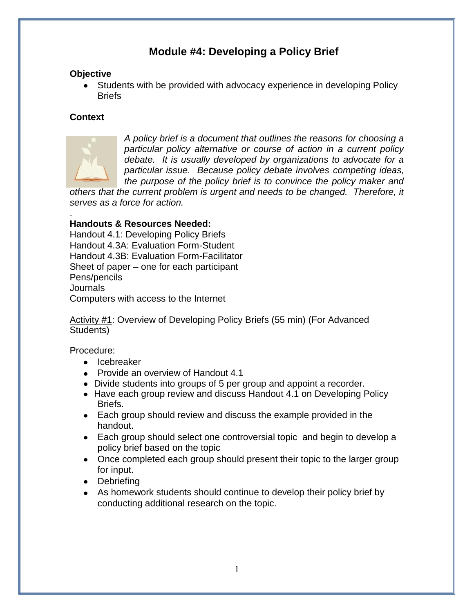# **Module #4: Developing a Policy Brief**

#### **Objective**

Students with be provided with advocacy experience in developing Policy **Briefs** 

### **Context**



*A policy brief is a document that outlines the reasons for choosing a particular policy alternative or course of action in a current policy debate. It is usually developed by organizations to advocate for a particular issue. Because policy debate involves competing ideas, the purpose of the policy brief is to convince the policy maker and* 

*others that the current problem is urgent and needs to be changed. Therefore, it serves as a force for action.*

#### . **Handouts & Resources Needed:**

Handout 4.1: Developing Policy Briefs Handout 4.3A: Evaluation Form-Student Handout 4.3B: Evaluation Form-Facilitator Sheet of paper – one for each participant Pens/pencils Journals Computers with access to the Internet

Activity #1: Overview of Developing Policy Briefs (55 min) (For Advanced Students)

Procedure:

- Icebreaker
- Provide an overview of Handout 4.1
- Divide students into groups of 5 per group and appoint a recorder.
- Have each group review and discuss Handout 4.1 on Developing Policy Briefs.
- Each group should review and discuss the example provided in the handout.
- Each group should select one controversial topic and begin to develop a policy brief based on the topic
- Once completed each group should present their topic to the larger group for input.
- Debriefing
- As homework students should continue to develop their policy brief by conducting additional research on the topic.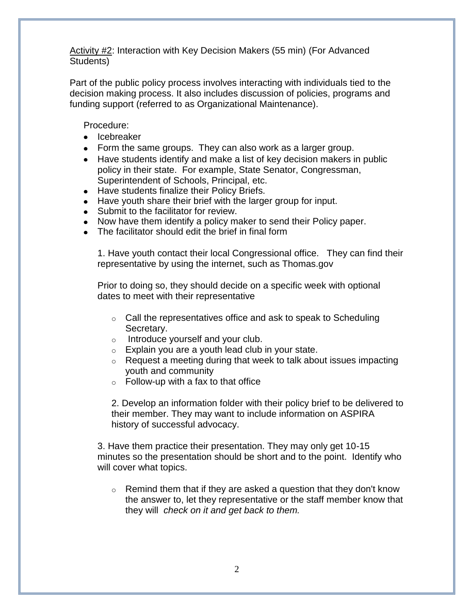Activity #2: Interaction with Key Decision Makers (55 min) (For Advanced Students)

Part of the public policy process involves interacting with individuals tied to the decision making process. It also includes discussion of policies, programs and funding support (referred to as Organizational Maintenance).

Procedure:

- Icebreaker
- Form the same groups. They can also work as a larger group.
- Have students identify and make a list of key decision makers in public policy in their state. For example, State Senator, Congressman, Superintendent of Schools, Principal, etc.
- Have students finalize their Policy Briefs.
- Have youth share their brief with the larger group for input.
- Submit to the facilitator for review.
- Now have them identify a policy maker to send their Policy paper.
- The facilitator should edit the brief in final form

1. Have youth contact their local Congressional office. They can find their representative by using the internet, such as Thomas.gov

Prior to doing so, they should decide on a specific week with optional dates to meet with their representative

- $\circ$  Call the representatives office and ask to speak to Scheduling Secretary.
- o Introduce yourself and your club.
- $\circ$  Explain you are a youth lead club in your state.
- $\circ$  Request a meeting during that week to talk about issues impacting youth and community
- $\circ$  Follow-up with a fax to that office

2. Develop an information folder with their policy brief to be delivered to their member. They may want to include information on ASPIRA history of successful advocacy.

3. Have them practice their presentation. They may only get 10-15 minutes so the presentation should be short and to the point. Identify who will cover what topics.

 $\circ$  Remind them that if they are asked a question that they don't know the answer to, let they representative or the staff member know that they will *check on it and get back to them.*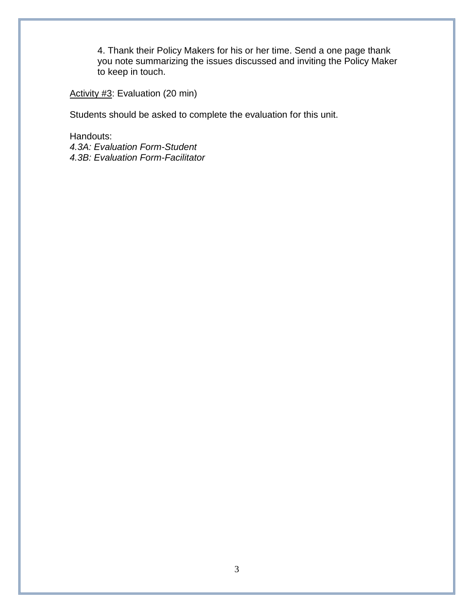4. Thank their Policy Makers for his or her time. Send a one page thank you note summarizing the issues discussed and inviting the Policy Maker to keep in touch.

Activity #3: Evaluation (20 min)

Students should be asked to complete the evaluation for this unit.

Handouts: *4.3A: Evaluation Form-Student 4.3B: Evaluation Form-Facilitator*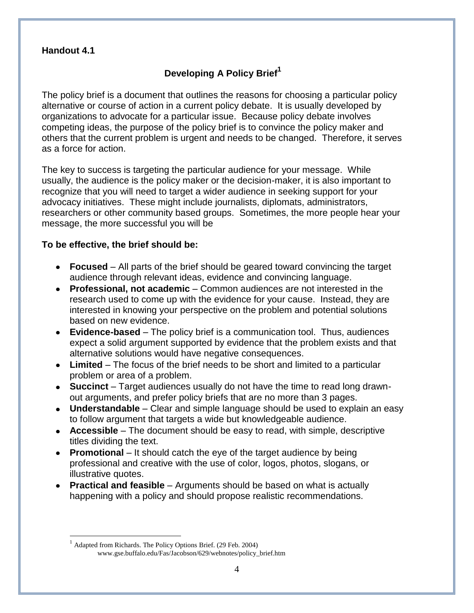#### **Handout 4.1**

 $\overline{a}$ 

## **Developing A Policy Brief<sup>1</sup>**

The policy brief is a document that outlines the reasons for choosing a particular policy alternative or course of action in a current policy debate. It is usually developed by organizations to advocate for a particular issue. Because policy debate involves competing ideas, the purpose of the policy brief is to convince the policy maker and others that the current problem is urgent and needs to be changed. Therefore, it serves as a force for action.

The key to success is targeting the particular audience for your message. While usually, the audience is the policy maker or the decision-maker, it is also important to recognize that you will need to target a wider audience in seeking support for your advocacy initiatives. These might include journalists, diplomats, administrators, researchers or other community based groups. Sometimes, the more people hear your message, the more successful you will be

#### **To be effective, the brief should be:**

- **Focused** All parts of the brief should be geared toward convincing the target audience through relevant ideas, evidence and convincing language.
- **Professional, not academic** Common audiences are not interested in the research used to come up with the evidence for your cause. Instead, they are interested in knowing your perspective on the problem and potential solutions based on new evidence.
- **Evidence-based** The policy brief is a communication tool. Thus, audiences expect a solid argument supported by evidence that the problem exists and that alternative solutions would have negative consequences.
- **Limited** The focus of the brief needs to be short and limited to a particular problem or area of a problem.
- **Succinct** Target audiences usually do not have the time to read long drawnout arguments, and prefer policy briefs that are no more than 3 pages.
- **Understandable** Clear and simple language should be used to explain an easy to follow argument that targets a wide but knowledgeable audience.
- **Accessible** The document should be easy to read, with simple, descriptive titles dividing the text.
- **Promotional** It should catch the eye of the target audience by being professional and creative with the use of color, logos, photos, slogans, or illustrative quotes.
- **Practical and feasible** Arguments should be based on what is actually happening with a policy and should propose realistic recommendations.

<sup>1</sup> Adapted from Richards. The Policy Options Brief. (29 Feb. 2004) www.gse.buffalo.edu/Fas/Jacobson/629/webnotes/policy\_brief.htm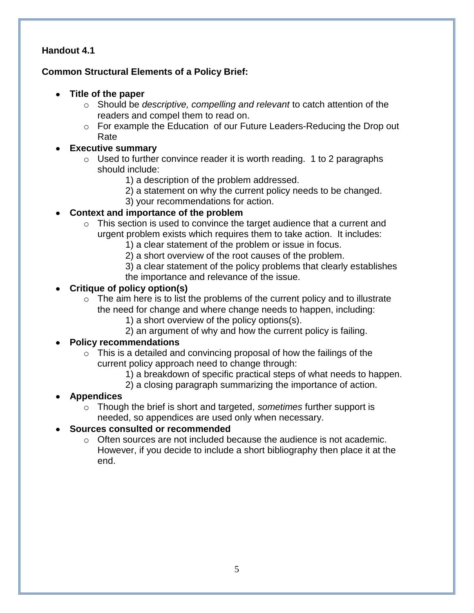### **Handout 4.1**

## **Common Structural Elements of a Policy Brief:**

- **Title of the paper**
	- o Should be *descriptive, compelling and relevant* to catch attention of the readers and compel them to read on.
	- o For example the Education of our Future Leaders-Reducing the Drop out Rate

## **Executive summary**

- $\circ$  Used to further convince reader it is worth reading. 1 to 2 paragraphs should include:
	- 1) a description of the problem addressed.
	- 2) a statement on why the current policy needs to be changed.
	- 3) your recommendations for action.

### **Context and importance of the problem**

- o This section is used to convince the target audience that a current and urgent problem exists which requires them to take action. It includes:
	- 1) a clear statement of the problem or issue in focus.
	- 2) a short overview of the root causes of the problem.
	- 3) a clear statement of the policy problems that clearly establishes the importance and relevance of the issue.

#### **Critique of policy option(s)**

- $\circ$  The aim here is to list the problems of the current policy and to illustrate the need for change and where change needs to happen, including:
	- 1) a short overview of the policy options(s).
	- 2) an argument of why and how the current policy is failing.

#### **Policy recommendations**

- $\circ$  This is a detailed and convincing proposal of how the failings of the current policy approach need to change through:
	- 1) a breakdown of specific practical steps of what needs to happen.
	- 2) a closing paragraph summarizing the importance of action.

#### **Appendices**

o Though the brief is short and targeted, *sometimes* further support is needed, so appendices are used only when necessary.

#### **Sources consulted or recommended**

 $\circ$  Often sources are not included because the audience is not academic. However, if you decide to include a short bibliography then place it at the end.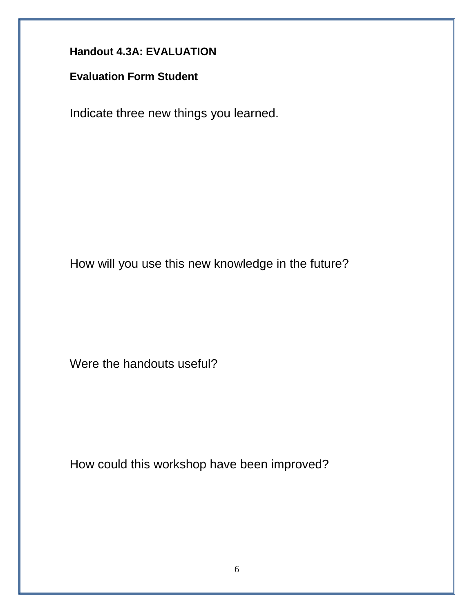**Handout 4.3A: EVALUATION**

**Evaluation Form Student**

Indicate three new things you learned.

How will you use this new knowledge in the future?

Were the handouts useful?

How could this workshop have been improved?